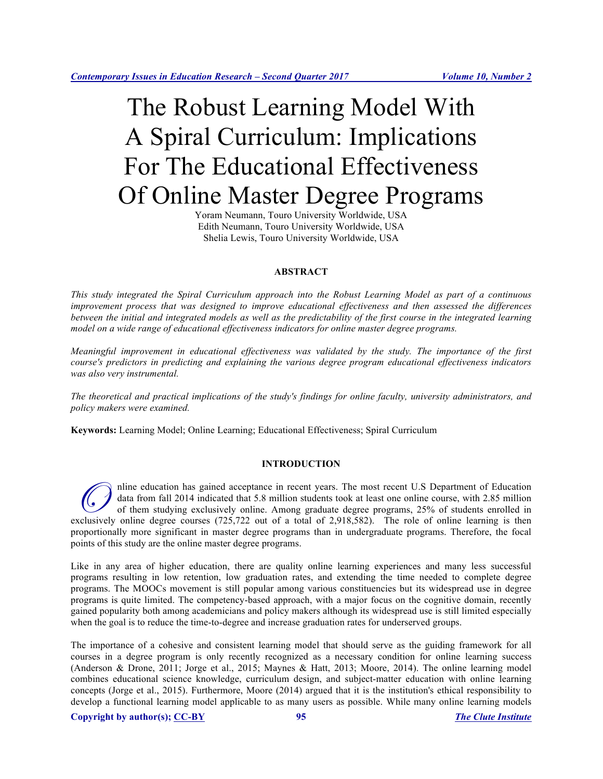# The Robust Learning Model With A Spiral Curriculum: Implications For The Educational Effectiveness Of Online Master Degree Programs

Yoram Neumann, Touro University Worldwide, USA Edith Neumann, Touro University Worldwide, USA Shelia Lewis, Touro University Worldwide, USA

### **ABSTRACT**

*This study integrated the Spiral Curriculum approach into the Robust Learning Model as part of a continuous improvement process that was designed to improve educational effectiveness and then assessed the differences between the initial and integrated models as well as the predictability of the first course in the integrated learning model on a wide range of educational effectiveness indicators for online master degree programs.* 

*Meaningful improvement in educational effectiveness was validated by the study. The importance of the first course's predictors in predicting and explaining the various degree program educational effectiveness indicators was also very instrumental.*

*The theoretical and practical implications of the study's findings for online faculty, university administrators, and policy makers were examined.*

**Keywords:** Learning Model; Online Learning; Educational Effectiveness; Spiral Curriculum

#### **INTRODUCTION**

nline education has gained acceptance in recent years. The most recent U.S Department of Education data from fall 2014 indicated that 5.8 million students took at least one online course, with 2.85 million of them studying exclusively online. Among graduate degree programs, 25% of students enrolled in The most recent U.S Department of Education data from fall 2014 indicated that 5.8 million students took at least one online course, with 2.85 million of them studying exclusively online. Among graduate degree programs, 25 proportionally more significant in master degree programs than in undergraduate programs. Therefore, the focal points of this study are the online master degree programs.

Like in any area of higher education, there are quality online learning experiences and many less successful programs resulting in low retention, low graduation rates, and extending the time needed to complete degree programs. The MOOCs movement is still popular among various constituencies but its widespread use in degree programs is quite limited. The competency-based approach, with a major focus on the cognitive domain, recently gained popularity both among academicians and policy makers although its widespread use is still limited especially when the goal is to reduce the time-to-degree and increase graduation rates for underserved groups.

The importance of a cohesive and consistent learning model that should serve as the guiding framework for all courses in a degree program is only recently recognized as a necessary condition for online learning success (Anderson & Drone, 2011; Jorge et al., 2015; Maynes & Hatt, 2013; Moore, 2014). The online learning model combines educational science knowledge, curriculum design, and subject-matter education with online learning concepts (Jorge et al., 2015). Furthermore, Moore (2014) argued that it is the institution's ethical responsibility to develop a functional learning model applicable to as many users as possible. While many online learning models

**Copyright by author(s); CC-BY 95** *The Clute Institute*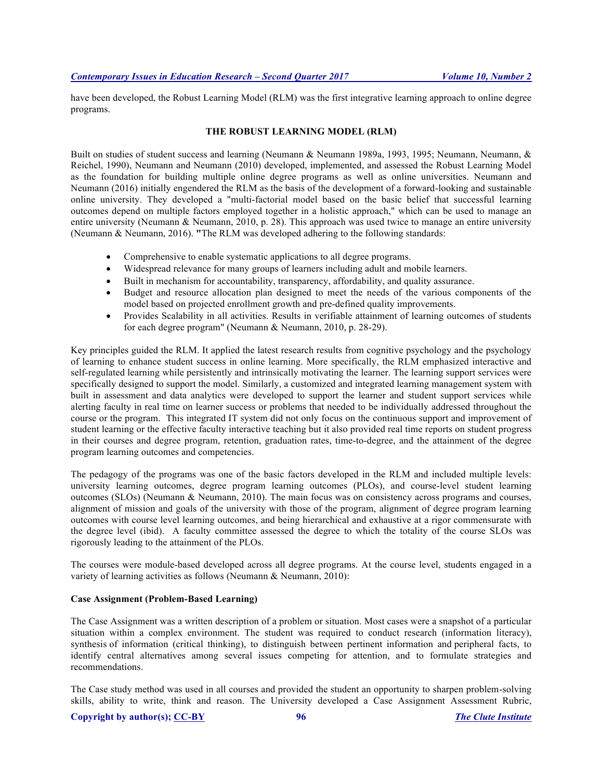have been developed, the Robust Learning Model (RLM) was the first integrative learning approach to online degree programs.

# **THE ROBUST LEARNING MODEL (RLM)**

Built on studies of student success and learning (Neumann & Neumann 1989a, 1993, 1995; Neumann, Neumann, & Reichel, 1990), Neumann and Neumann (2010) developed, implemented, and assessed the Robust Learning Model as the foundation for building multiple online degree programs as well as online universities. Neumann and Neumann (2016) initially engendered the RLM as the basis of the development of a forward-looking and sustainable online university. They developed a "multi-factorial model based on the basic belief that successful learning outcomes depend on multiple factors employed together in a holistic approach," which can be used to manage an entire university (Neumann & Neumann, 2010, p. 28). This approach was used twice to manage an entire university (Neumann & Neumann, 2016). **"**The RLM was developed adhering to the following standards:

- Comprehensive to enable systematic applications to all degree programs.
- Widespread relevance for many groups of learners including adult and mobile learners.
- Built in mechanism for accountability, transparency, affordability, and quality assurance.
- Budget and resource allocation plan designed to meet the needs of the various components of the model based on projected enrollment growth and pre-defined quality improvements.
- Provides Scalability in all activities. Results in verifiable attainment of learning outcomes of students for each degree program" (Neumann & Neumann, 2010, p. 28-29).

Key principles guided the RLM. It applied the latest research results from cognitive psychology and the psychology of learning to enhance student success in online learning. More specifically, the RLM emphasized interactive and self-regulated learning while persistently and intrinsically motivating the learner. The learning support services were specifically designed to support the model. Similarly, a customized and integrated learning management system with built in assessment and data analytics were developed to support the learner and student support services while alerting faculty in real time on learner success or problems that needed to be individually addressed throughout the course or the program. This integrated IT system did not only focus on the continuous support and improvement of student learning or the effective faculty interactive teaching but it also provided real time reports on student progress in their courses and degree program, retention, graduation rates, time-to-degree, and the attainment of the degree program learning outcomes and competencies.

The pedagogy of the programs was one of the basic factors developed in the RLM and included multiple levels: university learning outcomes, degree program learning outcomes (PLOs), and course-level student learning outcomes (SLOs) (Neumann & Neumann, 2010). The main focus was on consistency across programs and courses, alignment of mission and goals of the university with those of the program, alignment of degree program learning outcomes with course level learning outcomes, and being hierarchical and exhaustive at a rigor commensurate with the degree level (ibid). A faculty committee assessed the degree to which the totality of the course SLOs was rigorously leading to the attainment of the PLOs.

The courses were module-based developed across all degree programs. At the course level, students engaged in a variety of learning activities as follows (Neumann & Neumann, 2010):

#### **Case Assignment (Problem-Based Learning)**

The Case Assignment was a written description of a problem or situation. Most cases were a snapshot of a particular situation within a complex environment. The student was required to conduct research (information literacy), synthesis of information (critical thinking), to distinguish between pertinent information and peripheral facts, to identify central alternatives among several issues competing for attention, and to formulate strategies and recommendations.

The Case study method was used in all courses and provided the student an opportunity to sharpen problem-solving skills, ability to write, think and reason. The University developed a Case Assignment Assessment Rubric,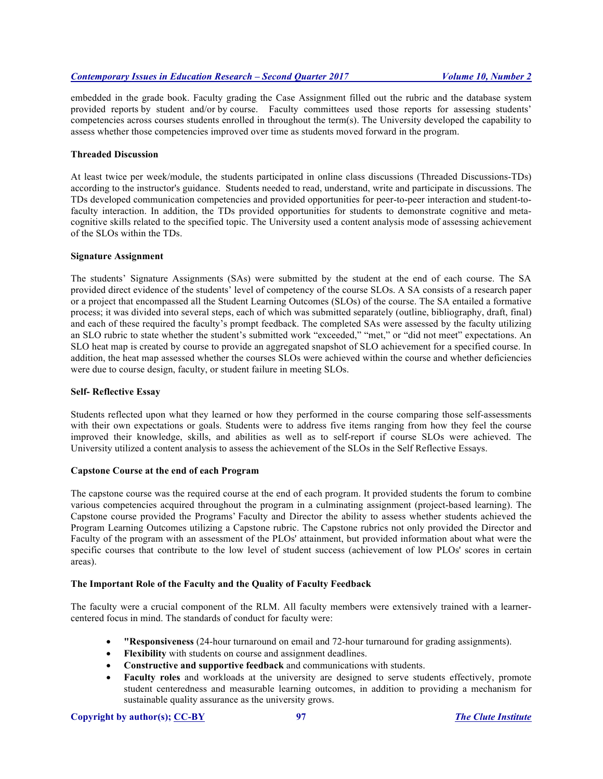embedded in the grade book. Faculty grading the Case Assignment filled out the rubric and the database system provided reports by student and/or by course. Faculty committees used those reports for assessing students' competencies across courses students enrolled in throughout the term(s). The University developed the capability to assess whether those competencies improved over time as students moved forward in the program.

# **Threaded Discussion**

At least twice per week/module, the students participated in online class discussions (Threaded Discussions-TDs) according to the instructor's guidance. Students needed to read, understand, write and participate in discussions. The TDs developed communication competencies and provided opportunities for peer-to-peer interaction and student-tofaculty interaction. In addition, the TDs provided opportunities for students to demonstrate cognitive and metacognitive skills related to the specified topic. The University used a content analysis mode of assessing achievement of the SLOs within the TDs.

#### **Signature Assignment**

The students' Signature Assignments (SAs) were submitted by the student at the end of each course. The SA provided direct evidence of the students' level of competency of the course SLOs. A SA consists of a research paper or a project that encompassed all the Student Learning Outcomes (SLOs) of the course. The SA entailed a formative process; it was divided into several steps, each of which was submitted separately (outline, bibliography, draft, final) and each of these required the faculty's prompt feedback. The completed SAs were assessed by the faculty utilizing an SLO rubric to state whether the student's submitted work "exceeded," "met," or "did not meet" expectations. An SLO heat map is created by course to provide an aggregated snapshot of SLO achievement for a specified course. In addition, the heat map assessed whether the courses SLOs were achieved within the course and whether deficiencies were due to course design, faculty, or student failure in meeting SLOs.

#### **Self- Reflective Essay**

Students reflected upon what they learned or how they performed in the course comparing those self-assessments with their own expectations or goals. Students were to address five items ranging from how they feel the course improved their knowledge, skills, and abilities as well as to self-report if course SLOs were achieved. The University utilized a content analysis to assess the achievement of the SLOs in the Self Reflective Essays.

# **Capstone Course at the end of each Program**

The capstone course was the required course at the end of each program. It provided students the forum to combine various competencies acquired throughout the program in a culminating assignment (project-based learning). The Capstone course provided the Programs' Faculty and Director the ability to assess whether students achieved the Program Learning Outcomes utilizing a Capstone rubric. The Capstone rubrics not only provided the Director and Faculty of the program with an assessment of the PLOs' attainment, but provided information about what were the specific courses that contribute to the low level of student success (achievement of low PLOs' scores in certain areas).

#### **The Important Role of the Faculty and the Quality of Faculty Feedback**

The faculty were a crucial component of the RLM. All faculty members were extensively trained with a learnercentered focus in mind. The standards of conduct for faculty were:

- **"Responsiveness** (24-hour turnaround on email and 72-hour turnaround for grading assignments).
- **Flexibility** with students on course and assignment deadlines.
- **Constructive and supportive feedback** and communications with students.
- **Faculty roles** and workloads at the university are designed to serve students effectively, promote student centeredness and measurable learning outcomes, in addition to providing a mechanism for sustainable quality assurance as the university grows.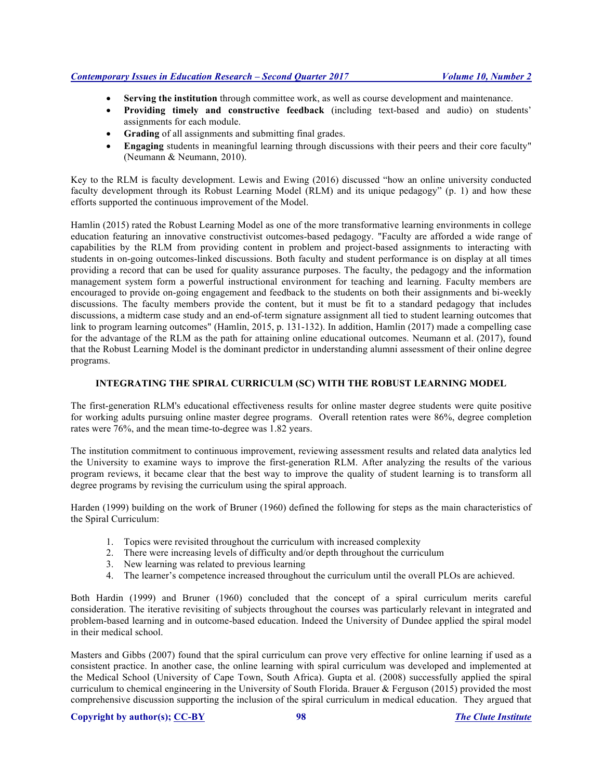- **Serving the institution** through committee work, as well as course development and maintenance.
- **Providing timely and constructive feedback** (including text-based and audio) on students' assignments for each module.
- **Grading** of all assignments and submitting final grades.
- **Engaging** students in meaningful learning through discussions with their peers and their core faculty" (Neumann & Neumann, 2010).

Key to the RLM is faculty development. Lewis and Ewing (2016) discussed "how an online university conducted faculty development through its Robust Learning Model (RLM) and its unique pedagogy" (p. 1) and how these efforts supported the continuous improvement of the Model.

Hamlin (2015) rated the Robust Learning Model as one of the more transformative learning environments in college education featuring an innovative constructivist outcomes-based pedagogy. "Faculty are afforded a wide range of capabilities by the RLM from providing content in problem and project-based assignments to interacting with students in on-going outcomes-linked discussions. Both faculty and student performance is on display at all times providing a record that can be used for quality assurance purposes. The faculty, the pedagogy and the information management system form a powerful instructional environment for teaching and learning. Faculty members are encouraged to provide on-going engagement and feedback to the students on both their assignments and bi-weekly discussions. The faculty members provide the content, but it must be fit to a standard pedagogy that includes discussions, a midterm case study and an end-of-term signature assignment all tied to student learning outcomes that link to program learning outcomes" (Hamlin, 2015, p. 131-132). In addition, Hamlin (2017) made a compelling case for the advantage of the RLM as the path for attaining online educational outcomes. Neumann et al. (2017), found that the Robust Learning Model is the dominant predictor in understanding alumni assessment of their online degree programs.

# **INTEGRATING THE SPIRAL CURRICULM (SC) WITH THE ROBUST LEARNING MODEL**

The first-generation RLM's educational effectiveness results for online master degree students were quite positive for working adults pursuing online master degree programs. Overall retention rates were 86%, degree completion rates were 76%, and the mean time-to-degree was 1.82 years.

The institution commitment to continuous improvement, reviewing assessment results and related data analytics led the University to examine ways to improve the first-generation RLM. After analyzing the results of the various program reviews, it became clear that the best way to improve the quality of student learning is to transform all degree programs by revising the curriculum using the spiral approach.

Harden (1999) building on the work of Bruner (1960) defined the following for steps as the main characteristics of the Spiral Curriculum:

- 1. Topics were revisited throughout the curriculum with increased complexity
- 2. There were increasing levels of difficulty and/or depth throughout the curriculum
- 3. New learning was related to previous learning
- 4. The learner's competence increased throughout the curriculum until the overall PLOs are achieved.

Both Hardin (1999) and Bruner (1960) concluded that the concept of a spiral curriculum merits careful consideration. The iterative revisiting of subjects throughout the courses was particularly relevant in integrated and problem-based learning and in outcome-based education. Indeed the University of Dundee applied the spiral model in their medical school.

Masters and Gibbs (2007) found that the spiral curriculum can prove very effective for online learning if used as a consistent practice. In another case, the online learning with spiral curriculum was developed and implemented at the Medical School (University of Cape Town, South Africa). Gupta et al. (2008) successfully applied the spiral curriculum to chemical engineering in the University of South Florida. Brauer & Ferguson (2015) provided the most comprehensive discussion supporting the inclusion of the spiral curriculum in medical education. They argued that

# **Copyright by author(s); CC-BY 98** *The Clute Institute*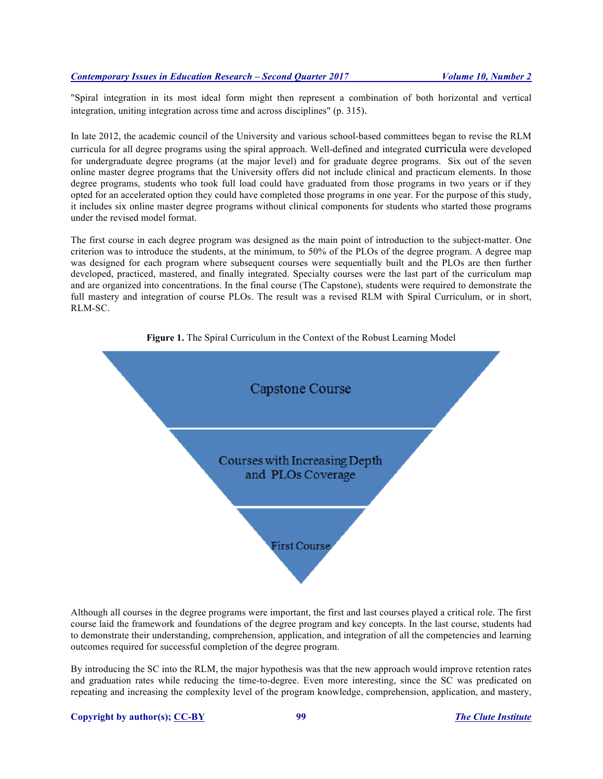"Spiral integration in its most ideal form might then represent a combination of both horizontal and vertical integration, uniting integration across time and across disciplines" (p. 315).

In late 2012, the academic council of the University and various school-based committees began to revise the RLM curricula for all degree programs using the spiral approach. Well-defined and integrated curricula were developed for undergraduate degree programs (at the major level) and for graduate degree programs. Six out of the seven online master degree programs that the University offers did not include clinical and practicum elements. In those degree programs, students who took full load could have graduated from those programs in two years or if they opted for an accelerated option they could have completed those programs in one year. For the purpose of this study, it includes six online master degree programs without clinical components for students who started those programs under the revised model format.

The first course in each degree program was designed as the main point of introduction to the subject-matter. One criterion was to introduce the students, at the minimum, to 50% of the PLOs of the degree program. A degree map was designed for each program where subsequent courses were sequentially built and the PLOs are then further developed, practiced, mastered, and finally integrated. Specialty courses were the last part of the curriculum map and are organized into concentrations. In the final course (The Capstone), students were required to demonstrate the full mastery and integration of course PLOs. The result was a revised RLM with Spiral Curriculum, or in short, RLM-SC.





Although all courses in the degree programs were important, the first and last courses played a critical role. The first course laid the framework and foundations of the degree program and key concepts. In the last course, students had to demonstrate their understanding, comprehension, application, and integration of all the competencies and learning outcomes required for successful completion of the degree program.

By introducing the SC into the RLM, the major hypothesis was that the new approach would improve retention rates and graduation rates while reducing the time-to-degree. Even more interesting, since the SC was predicated on repeating and increasing the complexity level of the program knowledge, comprehension, application, and mastery,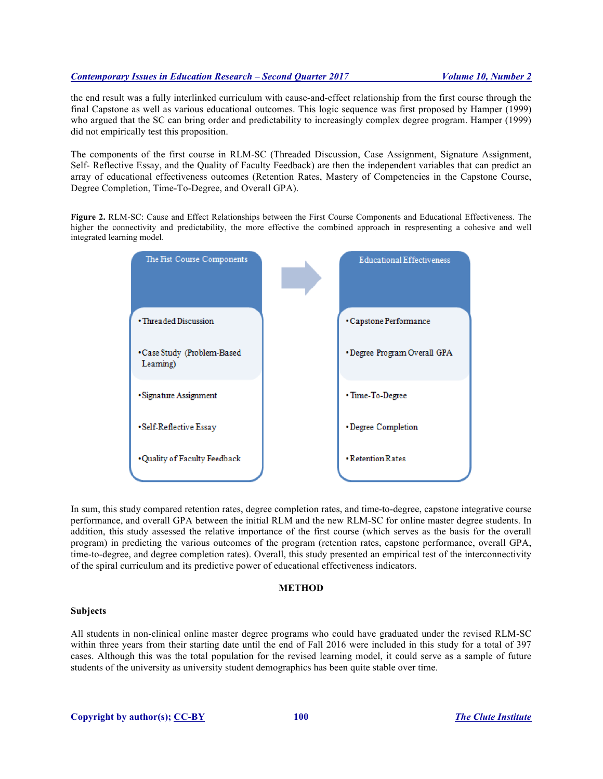the end result was a fully interlinked curriculum with cause-and-effect relationship from the first course through the final Capstone as well as various educational outcomes. This logic sequence was first proposed by Hamper (1999) who argued that the SC can bring order and predictability to increasingly complex degree program. Hamper (1999) did not empirically test this proposition.

The components of the first course in RLM-SC (Threaded Discussion, Case Assignment, Signature Assignment, Self- Reflective Essay, and the Quality of Faculty Feedback) are then the independent variables that can predict an array of educational effectiveness outcomes (Retention Rates, Mastery of Competencies in the Capstone Course, Degree Completion, Time-To-Degree, and Overall GPA).

**Figure 2.** RLM-SC: Cause and Effect Relationships between the First Course Components and Educational Effectiveness. The higher the connectivity and predictability, the more effective the combined approach in respresenting a cohesive and well integrated learning model.



In sum, this study compared retention rates, degree completion rates, and time-to-degree, capstone integrative course performance, and overall GPA between the initial RLM and the new RLM-SC for online master degree students. In addition, this study assessed the relative importance of the first course (which serves as the basis for the overall program) in predicting the various outcomes of the program (retention rates, capstone performance, overall GPA, time-to-degree, and degree completion rates). Overall, this study presented an empirical test of the interconnectivity of the spiral curriculum and its predictive power of educational effectiveness indicators.

#### **METHOD**

#### **Subjects**

All students in non-clinical online master degree programs who could have graduated under the revised RLM-SC within three years from their starting date until the end of Fall 2016 were included in this study for a total of 397 cases. Although this was the total population for the revised learning model, it could serve as a sample of future students of the university as university student demographics has been quite stable over time.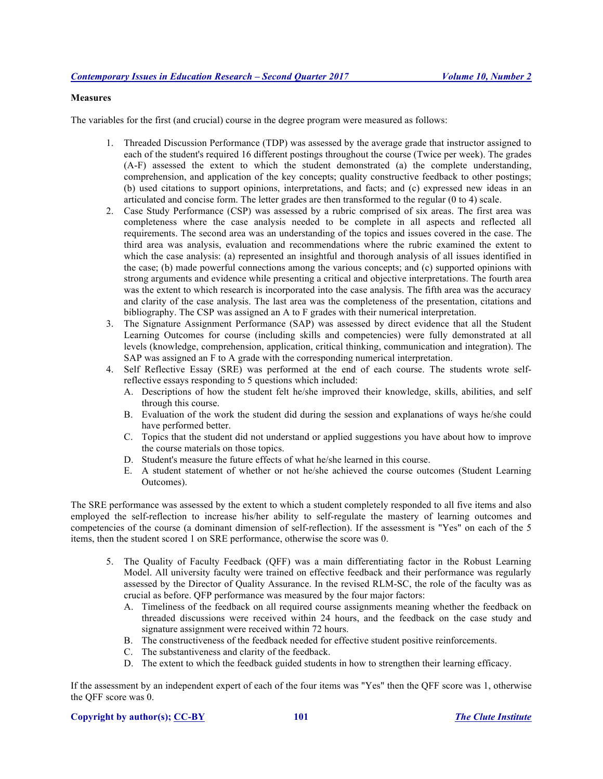#### **Measures**

The variables for the first (and crucial) course in the degree program were measured as follows:

- 1. Threaded Discussion Performance (TDP) was assessed by the average grade that instructor assigned to each of the student's required 16 different postings throughout the course (Twice per week). The grades (A-F) assessed the extent to which the student demonstrated (a) the complete understanding, comprehension, and application of the key concepts; quality constructive feedback to other postings; (b) used citations to support opinions, interpretations, and facts; and (c) expressed new ideas in an articulated and concise form. The letter grades are then transformed to the regular (0 to 4) scale.
- 2. Case Study Performance (CSP) was assessed by a rubric comprised of six areas. The first area was completeness where the case analysis needed to be complete in all aspects and reflected all requirements. The second area was an understanding of the topics and issues covered in the case. The third area was analysis, evaluation and recommendations where the rubric examined the extent to which the case analysis: (a) represented an insightful and thorough analysis of all issues identified in the case; (b) made powerful connections among the various concepts; and (c) supported opinions with strong arguments and evidence while presenting a critical and objective interpretations. The fourth area was the extent to which research is incorporated into the case analysis. The fifth area was the accuracy and clarity of the case analysis. The last area was the completeness of the presentation, citations and bibliography. The CSP was assigned an A to F grades with their numerical interpretation.
- 3. The Signature Assignment Performance (SAP) was assessed by direct evidence that all the Student Learning Outcomes for course (including skills and competencies) were fully demonstrated at all levels (knowledge, comprehension, application, critical thinking, communication and integration). The SAP was assigned an F to A grade with the corresponding numerical interpretation.
- 4. Self Reflective Essay (SRE) was performed at the end of each course. The students wrote selfreflective essays responding to 5 questions which included:
	- A. Descriptions of how the student felt he/she improved their knowledge, skills, abilities, and self through this course.
	- B. Evaluation of the work the student did during the session and explanations of ways he/she could have performed better.
	- C. Topics that the student did not understand or applied suggestions you have about how to improve the course materials on those topics.
	- D. Student's measure the future effects of what he/she learned in this course.
	- E. A student statement of whether or not he/she achieved the course outcomes (Student Learning Outcomes).

The SRE performance was assessed by the extent to which a student completely responded to all five items and also employed the self-reflection to increase his/her ability to self-regulate the mastery of learning outcomes and competencies of the course (a dominant dimension of self-reflection). If the assessment is "Yes" on each of the 5 items, then the student scored 1 on SRE performance, otherwise the score was 0.

- 5. The Quality of Faculty Feedback (QFF) was a main differentiating factor in the Robust Learning Model. All university faculty were trained on effective feedback and their performance was regularly assessed by the Director of Quality Assurance. In the revised RLM-SC, the role of the faculty was as crucial as before. QFP performance was measured by the four major factors:
	- A. Timeliness of the feedback on all required course assignments meaning whether the feedback on threaded discussions were received within 24 hours, and the feedback on the case study and signature assignment were received within 72 hours.
	- B. The constructiveness of the feedback needed for effective student positive reinforcements.
	- C. The substantiveness and clarity of the feedback.
	- D. The extent to which the feedback guided students in how to strengthen their learning efficacy.

If the assessment by an independent expert of each of the four items was "Yes" then the QFF score was 1, otherwise the QFF score was 0.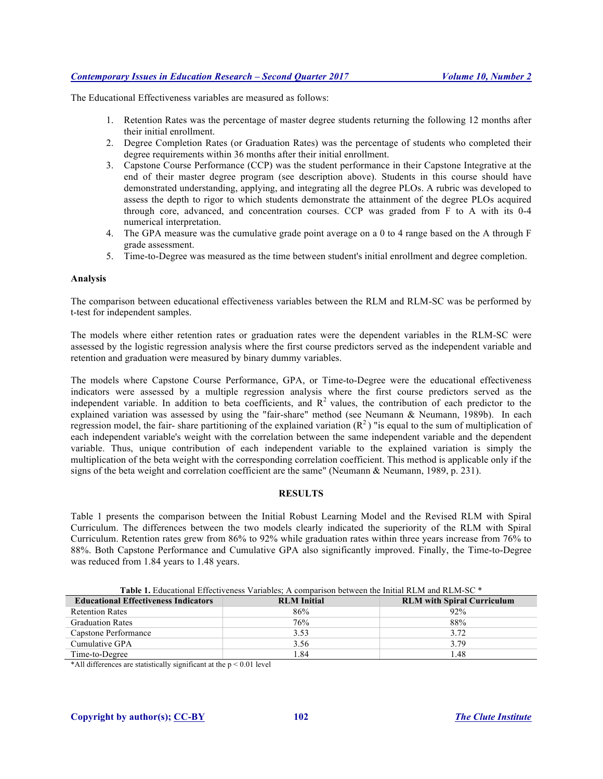The Educational Effectiveness variables are measured as follows:

- 1. Retention Rates was the percentage of master degree students returning the following 12 months after their initial enrollment.
- 2. Degree Completion Rates (or Graduation Rates) was the percentage of students who completed their degree requirements within 36 months after their initial enrollment.
- 3. Capstone Course Performance (CCP) was the student performance in their Capstone Integrative at the end of their master degree program (see description above). Students in this course should have demonstrated understanding, applying, and integrating all the degree PLOs. A rubric was developed to assess the depth to rigor to which students demonstrate the attainment of the degree PLOs acquired through core, advanced, and concentration courses. CCP was graded from F to A with its 0-4 numerical interpretation.
- 4. The GPA measure was the cumulative grade point average on a 0 to 4 range based on the A through F grade assessment.
- 5. Time-to-Degree was measured as the time between student's initial enrollment and degree completion.

#### **Analysis**

The comparison between educational effectiveness variables between the RLM and RLM-SC was be performed by t-test for independent samples.

The models where either retention rates or graduation rates were the dependent variables in the RLM-SC were assessed by the logistic regression analysis where the first course predictors served as the independent variable and retention and graduation were measured by binary dummy variables.

The models where Capstone Course Performance, GPA, or Time-to-Degree were the educational effectiveness indicators were assessed by a multiple regression analysis where the first course predictors served as the independent variable. In addition to beta coefficients, and  $R<sup>2</sup>$  values, the contribution of each predictor to the explained variation was assessed by using the "fair-share" method (see Neumann & Neumann, 1989b). In each regression model, the fair-share partitioning of the explained variation  $(R^2)$  "is equal to the sum of multiplication of each independent variable's weight with the correlation between the same independent variable and the dependent variable. Thus, unique contribution of each independent variable to the explained variation is simply the multiplication of the beta weight with the corresponding correlation coefficient. This method is applicable only if the signs of the beta weight and correlation coefficient are the same" (Neumann & Neumann, 1989, p. 231).

# **RESULTS**

Table 1 presents the comparison between the Initial Robust Learning Model and the Revised RLM with Spiral Curriculum. The differences between the two models clearly indicated the superiority of the RLM with Spiral Curriculum. Retention rates grew from 86% to 92% while graduation rates within three years increase from 76% to 88%. Both Capstone Performance and Cumulative GPA also significantly improved. Finally, the Time-to-Degree was reduced from 1.84 years to 1.48 years.

Table 1. Educational Effectiveness Variables; A comparison between the Initial RLM and RLM-SC \*

| <b>Educational Effectiveness Indicators</b> | <b>RLM</b> Initial | <b>RLM</b> with Spiral Curriculum |
|---------------------------------------------|--------------------|-----------------------------------|
| <b>Retention Rates</b>                      | 86%                | 92%                               |
| <b>Graduation Rates</b>                     | 76%                | 88%                               |
| Capstone Performance                        | 3.53               | 3.72                              |
| Cumulative GPA                              | 3.56               | 3.79                              |
| Time-to-Degree                              | .84                | 1.48                              |

\*All differences are statistically significant at the  $p < 0.01$  level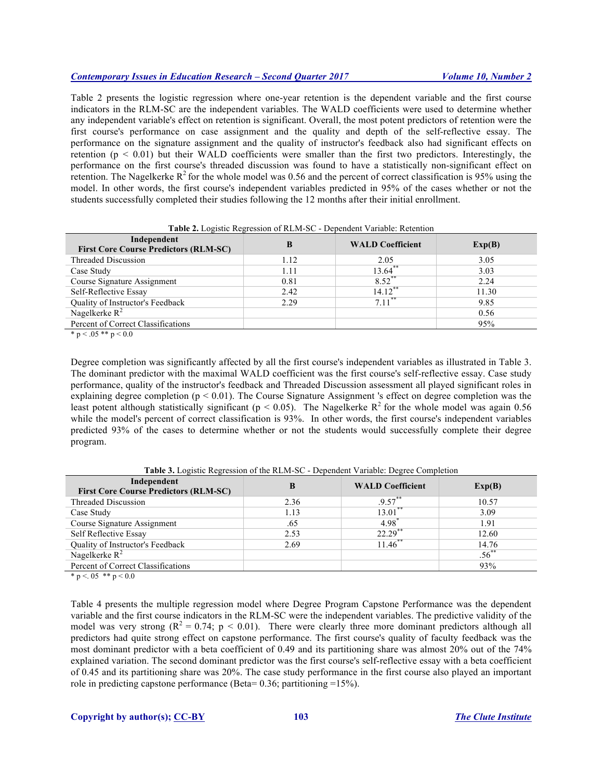Table 2 presents the logistic regression where one-year retention is the dependent variable and the first course indicators in the RLM-SC are the independent variables. The WALD coefficients were used to determine whether any independent variable's effect on retention is significant. Overall, the most potent predictors of retention were the first course's performance on case assignment and the quality and depth of the self-reflective essay. The performance on the signature assignment and the quality of instructor's feedback also had significant effects on retention ( $p < 0.01$ ) but their WALD coefficients were smaller than the first two predictors. Interestingly, the performance on the first course's threaded discussion was found to have a statistically non-significant effect on retention. The Nagelkerke  $R^2$  for the whole model was 0.56 and the percent of correct classification is 95% using the model. In other words, the first course's independent variables predicted in 95% of the cases whether or not the students successfully completed their studies following the 12 months after their initial enrollment.

| <b>Table 2.</b> Evelsite Regression of RETAT-SC - Dependent Variable. Retention |      |                         |        |  |
|---------------------------------------------------------------------------------|------|-------------------------|--------|--|
| Independent<br><b>First Core Course Predictors (RLM-SC)</b>                     |      | <b>WALD Coefficient</b> | Exp(B) |  |
| Threaded Discussion                                                             | 1.12 | 2.05                    | 3.05   |  |
| Case Study                                                                      | 1.11 | $13.64$ **              | 3.03   |  |
| Course Signature Assignment                                                     | 0.81 | $8.52$ **               | 2.24   |  |
| Self-Reflective Essay                                                           | 2.42 | $14.12$ **              | 11.30  |  |
| Quality of Instructor's Feedback                                                | 2.29 | $7.11***$               | 9.85   |  |
| Nagelkerke $R^2$                                                                |      |                         | 0.56   |  |
| Percent of Correct Classifications                                              |      |                         | 95%    |  |
| $\sim$ $\sim$ $\sim$ $\sim$ $\sim$ $\sim$ $\sim$                                |      |                         |        |  |

**Table 2.** Logistic Regression of RLM-SC - Dependent Variable: Retention

\* p < .05 \*\* p < 0.0

Degree completion was significantly affected by all the first course's independent variables as illustrated in Table 3. The dominant predictor with the maximal WALD coefficient was the first course's self-reflective essay. Case study performance, quality of the instructor's feedback and Threaded Discussion assessment all played significant roles in explaining degree completion ( $p < 0.01$ ). The Course Signature Assignment 's effect on degree completion was the least potent although statistically significant ( $p < 0.05$ ). The Nagelkerke R<sup>2</sup> for the whole model was again 0.56 while the model's percent of correct classification is 93%. In other words, the first course's independent variables predicted 93% of the cases to determine whether or not the students would successfully complete their degree program.

| Independent<br><b>First Core Course Predictors (RLM-SC)</b> |      | <b>WALD Coefficient</b> | Exp(B)   |
|-------------------------------------------------------------|------|-------------------------|----------|
| Threaded Discussion                                         | 2.36 | $.9.57***$              | 10.57    |
| Case Study                                                  | 1.13 | $13.01***$              | 3.09     |
| Course Signature Assignment                                 | .65  | 4.98                    | 1.91     |
| Self Reflective Essay                                       | 2.53 | $22.29$ **              | 12.60    |
| Quality of Instructor's Feedback                            | 2.69 | $11.46$ **              | 14.76    |
| Nagelkerke $R^2$                                            |      |                         | $.56***$ |
| Percent of Correct Classifications                          |      |                         | 93%      |

**Table 3.** Logistic Regression of the RLM-SC - Dependent Variable: Degree Completion

\* p <. 05 \*\* p < 0.0

Table 4 presents the multiple regression model where Degree Program Capstone Performance was the dependent variable and the first course indicators in the RLM-SC were the independent variables. The predictive validity of the model was very strong  $(R^2 = 0.74; p < 0.01)$ . There were clearly three more dominant predictors although all predictors had quite strong effect on capstone performance. The first course's quality of faculty feedback was the most dominant predictor with a beta coefficient of 0.49 and its partitioning share was almost 20% out of the 74% explained variation. The second dominant predictor was the first course's self-reflective essay with a beta coefficient of 0.45 and its partitioning share was 20%. The case study performance in the first course also played an important role in predicting capstone performance (Beta=  $0.36$ ; partitioning =15%).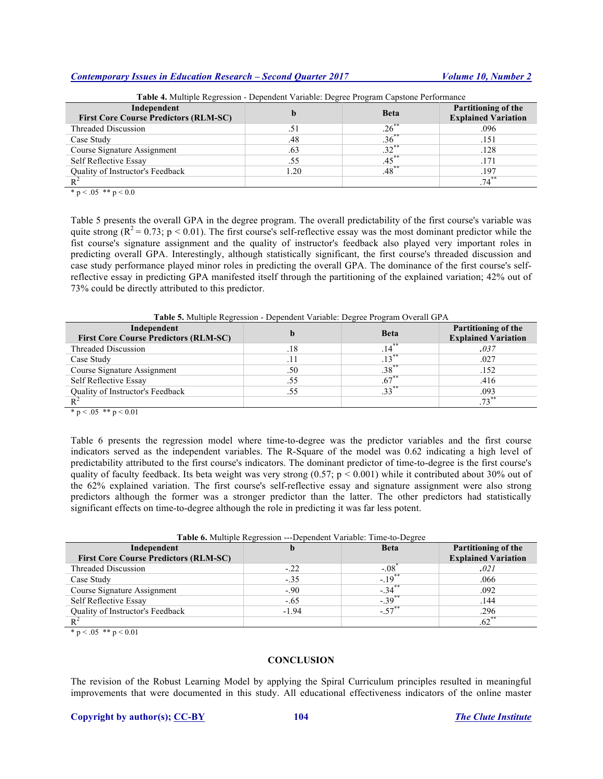| Table 4. Multiple Regression - Dependent Variable: Degree Program Capstone Performance |      |             |                                                          |  |
|----------------------------------------------------------------------------------------|------|-------------|----------------------------------------------------------|--|
| Independent<br><b>First Core Course Predictors (RLM-SC)</b>                            |      | <b>Beta</b> | <b>Partitioning of the</b><br><b>Explained Variation</b> |  |
| Threaded Discussion                                                                    | .51  | $.26***$    | .096                                                     |  |
| Case Study                                                                             | .48  | $.36***$    | .151                                                     |  |
| Course Signature Assignment                                                            | .63  | $.32***$    | .128                                                     |  |
| Self Reflective Essay                                                                  | .55  | $.45***$    | .171                                                     |  |
| <b>Ouality of Instructor's Feedback</b>                                                | 1.20 | $.48***$    | .197                                                     |  |
|                                                                                        |      |             | $.74***$                                                 |  |
| * $p < .05$ ** $p < 0.0$                                                               |      |             |                                                          |  |

Table 5 presents the overall GPA in the degree program. The overall predictability of the first course's variable was quite strong ( $R^2 = 0.73$ ; p < 0.01). The first course's self-reflective essay was the most dominant predictor while the fist course's signature assignment and the quality of instructor's feedback also played very important roles in predicting overall GPA. Interestingly, although statistically significant, the first course's threaded discussion and case study performance played minor roles in predicting the overall GPA. The dominance of the first course's selfreflective essay in predicting GPA manifested itself through the partitioning of the explained variation; 42% out of 73% could be directly attributed to this predictor.

**Table 5.** Multiple Regression - Dependent Variable: Degree Program Overall GPA

| Independent<br><b>First Core Course Predictors (RLM-SC)</b> |      | <b>Beta</b> | <b>Partitioning of the</b><br><b>Explained Variation</b> |
|-------------------------------------------------------------|------|-------------|----------------------------------------------------------|
| Threaded Discussion                                         | .18  | $.14***$    | .037                                                     |
| Case Study                                                  | . 14 | $.13***$    | .027                                                     |
| Course Signature Assignment                                 | .50  | $.38***$    | .152                                                     |
| Self Reflective Essay                                       | .55  | $.67***$    | .416                                                     |
| Quality of Instructor's Feedback                            | .55  | $.33***$    | .093                                                     |
|                                                             |      |             | $73***$                                                  |

 $* p < .05 ** p < 0.01$ 

Table 6 presents the regression model where time-to-degree was the predictor variables and the first course indicators served as the independent variables. The R-Square of the model was 0.62 indicating a high level of predictability attributed to the first course's indicators. The dominant predictor of time-to-degree is the first course's quality of faculty feedback. Its beta weight was very strong  $(0.57; p < 0.001)$  while it contributed about 30% out of the 62% explained variation. The first course's self-reflective essay and signature assignment were also strong predictors although the former was a stronger predictor than the latter. The other predictors had statistically significant effects on time-to-degree although the role in predicting it was far less potent.

| Table 6. Multiple Regression ---Dependent Variable: Time-to-Degree |         |                     |                            |  |  |
|--------------------------------------------------------------------|---------|---------------------|----------------------------|--|--|
| Independent                                                        |         | <b>Beta</b>         | <b>Partitioning of the</b> |  |  |
| <b>First Core Course Predictors (RLM-SC)</b>                       |         |                     | <b>Explained Variation</b> |  |  |
| Threaded Discussion                                                | $-.22$  | $-.08$ <sup>*</sup> | .021                       |  |  |
| Case Study                                                         | $-.35$  | $-19^{**}$          | .066                       |  |  |
| Course Signature Assignment                                        | $-.90$  | $-.34$ **           | .092                       |  |  |
| Self Reflective Essay                                              | $-.65$  | $-0.39$ **          | .144                       |  |  |
| Quality of Instructor's Feedback                                   | $-1.94$ | $-57^{**}$          | .296                       |  |  |
|                                                                    |         |                     | $.62***$                   |  |  |

 $* p < .05 ** p < 0.01$ 

# **CONCLUSION**

The revision of the Robust Learning Model by applying the Spiral Curriculum principles resulted in meaningful improvements that were documented in this study. All educational effectiveness indicators of the online master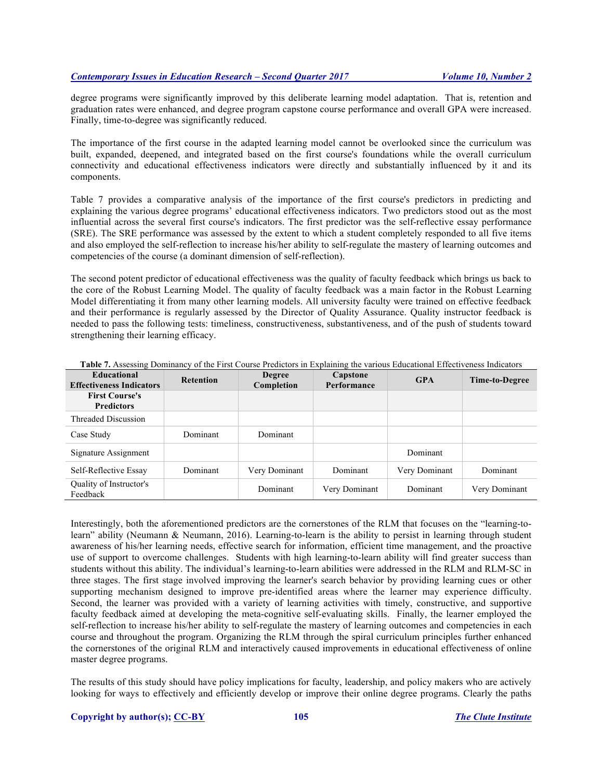degree programs were significantly improved by this deliberate learning model adaptation. That is, retention and graduation rates were enhanced, and degree program capstone course performance and overall GPA were increased. Finally, time-to-degree was significantly reduced.

The importance of the first course in the adapted learning model cannot be overlooked since the curriculum was built, expanded, deepened, and integrated based on the first course's foundations while the overall curriculum connectivity and educational effectiveness indicators were directly and substantially influenced by it and its components.

Table 7 provides a comparative analysis of the importance of the first course's predictors in predicting and explaining the various degree programs' educational effectiveness indicators. Two predictors stood out as the most influential across the several first course's indicators. The first predictor was the self-reflective essay performance (SRE). The SRE performance was assessed by the extent to which a student completely responded to all five items and also employed the self-reflection to increase his/her ability to self-regulate the mastery of learning outcomes and competencies of the course (a dominant dimension of self-reflection).

The second potent predictor of educational effectiveness was the quality of faculty feedback which brings us back to the core of the Robust Learning Model. The quality of faculty feedback was a main factor in the Robust Learning Model differentiating it from many other learning models. All university faculty were trained on effective feedback and their performance is regularly assessed by the Director of Quality Assurance. Quality instructor feedback is needed to pass the following tests: timeliness, constructiveness, substantiveness, and of the push of students toward strengthening their learning efficacy.

| <b>Educational</b><br><b>Effectiveness Indicators</b> | <b>Retention</b> | <b>Degree</b><br>Completion | Capstone<br>Performance | <b>GPA</b>    | Time-to-Degree |
|-------------------------------------------------------|------------------|-----------------------------|-------------------------|---------------|----------------|
| <b>First Course's</b><br><b>Predictors</b>            |                  |                             |                         |               |                |
| Threaded Discussion                                   |                  |                             |                         |               |                |
| Case Study                                            | Dominant         | Dominant                    |                         |               |                |
| Signature Assignment                                  |                  |                             |                         | Dominant      |                |
| Self-Reflective Essay                                 | Dominant         | Very Dominant               | Dominant                | Very Dominant | Dominant       |
| Quality of Instructor's<br>Feedback                   |                  | Dominant                    | Very Dominant           | Dominant      | Very Dominant  |

Interestingly, both the aforementioned predictors are the cornerstones of the RLM that focuses on the "learning-tolearn" ability (Neumann & Neumann, 2016). Learning-to-learn is the ability to persist in learning through student awareness of his/her learning needs, effective search for information, efficient time management, and the proactive use of support to overcome challenges. Students with high learning-to-learn ability will find greater success than students without this ability. The individual's learning-to-learn abilities were addressed in the RLM and RLM-SC in three stages. The first stage involved improving the learner's search behavior by providing learning cues or other supporting mechanism designed to improve pre-identified areas where the learner may experience difficulty. Second, the learner was provided with a variety of learning activities with timely, constructive, and supportive faculty feedback aimed at developing the meta-cognitive self-evaluating skills. Finally, the learner employed the self-reflection to increase his/her ability to self-regulate the mastery of learning outcomes and competencies in each course and throughout the program. Organizing the RLM through the spiral curriculum principles further enhanced the cornerstones of the original RLM and interactively caused improvements in educational effectiveness of online master degree programs.

The results of this study should have policy implications for faculty, leadership, and policy makers who are actively looking for ways to effectively and efficiently develop or improve their online degree programs. Clearly the paths

#### **Copyright by author(s); CC-BY 105** *The Clute Institute*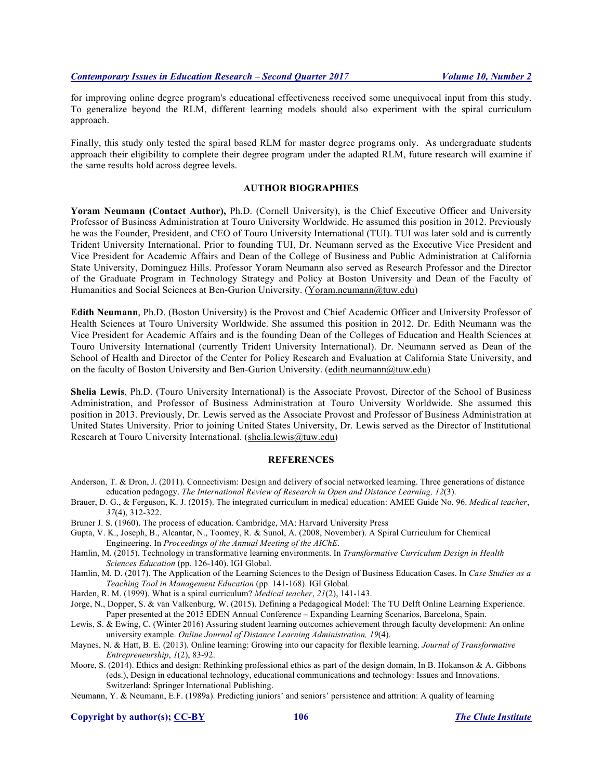for improving online degree program's educational effectiveness received some unequivocal input from this study. To generalize beyond the RLM, different learning models should also experiment with the spiral curriculum approach.

Finally, this study only tested the spiral based RLM for master degree programs only. As undergraduate students approach their eligibility to complete their degree program under the adapted RLM, future research will examine if the same results hold across degree levels.

# **AUTHOR BIOGRAPHIES**

**Yoram Neumann (Contact Author),** Ph.D. (Cornell University), is the Chief Executive Officer and University Professor of Business Administration at Touro University Worldwide. He assumed this position in 2012. Previously he was the Founder, President, and CEO of Touro University International (TUI). TUI was later sold and is currently Trident University International. Prior to founding TUI, Dr. Neumann served as the Executive Vice President and Vice President for Academic Affairs and Dean of the College of Business and Public Administration at California State University, Dominguez Hills. Professor Yoram Neumann also served as Research Professor and the Director of the Graduate Program in Technology Strategy and Policy at Boston University and Dean of the Faculty of Humanities and Social Sciences at Ben-Gurion University. (Yoram.neumann@tuw.edu)

**Edith Neumann**, Ph.D. (Boston University) is the Provost and Chief Academic Officer and University Professor of Health Sciences at Touro University Worldwide. She assumed this position in 2012. Dr. Edith Neumann was the Vice President for Academic Affairs and is the founding Dean of the Colleges of Education and Health Sciences at Touro University International (currently Trident University International). Dr. Neumann served as Dean of the School of Health and Director of the Center for Policy Research and Evaluation at California State University, and on the faculty of Boston University and Ben-Gurion University. (edith.neumann@tuw.edu)

**Shelia Lewis**, Ph.D. (Touro University International) is the Associate Provost, Director of the School of Business Administration, and Professor of Business Administration at Touro University Worldwide. She assumed this position in 2013. Previously, Dr. Lewis served as the Associate Provost and Professor of Business Administration at United States University. Prior to joining United States University, Dr. Lewis served as the Director of Institutional Research at Touro University International. (shelia.lewis@tuw.edu)

#### **REFERENCES**

- Anderson, T. & Dron, J. (2011). Connectivism: Design and delivery of social networked learning. Three generations of distance education pedagogy. *The International Review of Research in Open and Distance Learning, 12*(3).
- Brauer, D. G., & Ferguson, K. J. (2015). The integrated curriculum in medical education: AMEE Guide No. 96. *Medical teacher*, *37*(4), 312-322.
- Bruner J. S. (1960). The process of education. Cambridge, MA: Harvard University Press
- Gupta, V. K., Joseph, B., Alcantar, N., Toomey, R. & Sunol, A. (2008, November). A Spiral Curriculum for Chemical Engineering. In *Proceedings of the Annual Meeting of the AIChE*.
- Hamlin, M. (2015). Technology in transformative learning environments. In *Transformative Curriculum Design in Health Sciences Education* (pp. 126-140). IGI Global.
- Hamlin, M. D. (2017). The Application of the Learning Sciences to the Design of Business Education Cases. In *Case Studies as a Teaching Tool in Management Education* (pp. 141-168). IGI Global.
- Harden, R. M. (1999). What is a spiral curriculum? *Medical teacher*, *21*(2), 141-143.
- Jorge, N., Dopper, S. & van Valkenburg, W. (2015). Defining a Pedagogical Model: The TU Delft Online Learning Experience. Paper presented at the 2015 EDEN Annual Conference – Expanding Learning Scenarios, Barcelona, Spain.
- Lewis, S. & Ewing, C. (Winter 2016) Assuring student learning outcomes achievement through faculty development: An online university example. *Online Journal of Distance Learning Administration, 19*(4).
- Maynes, N. & Hatt, B. E. (2013). Online learning: Growing into our capacity for flexible learning. *Journal of Transformative Entrepreneurship*, *1*(2), 83-92.
- Moore, S. (2014). Ethics and design: Rethinking professional ethics as part of the design domain, In B. Hokanson  $\&$  A. Gibbons (eds.), Design in educational technology, educational communications and technology: Issues and Innovations. Switzerland: Springer International Publishing.
- Neumann, Y. & Neumann, E.F. (1989a). Predicting juniors' and seniors' persistence and attrition: A quality of learning

**Copyright by author(s); CC-BY 106** *The Clute Institute*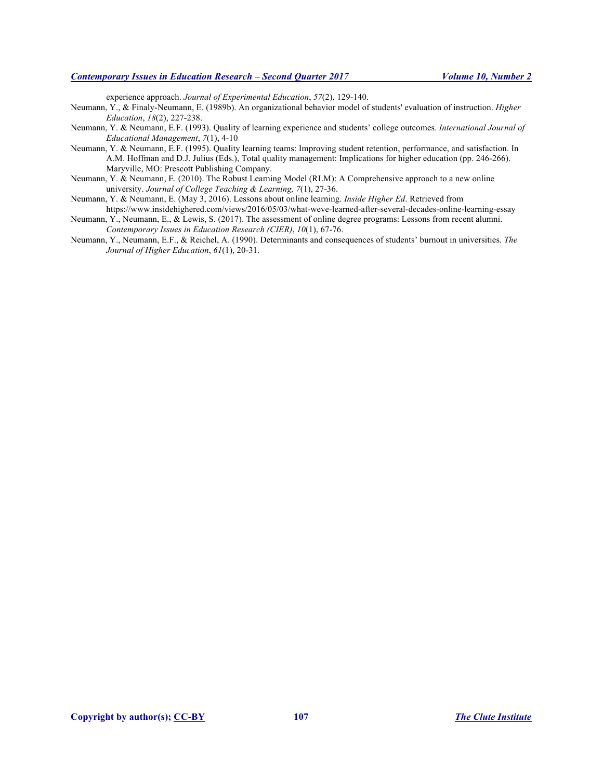experience approach. *Journal of Experimental Education*, *57*(2), 129-140.

- Neumann, Y., & Finaly-Neumann, E. (1989b). An organizational behavior model of students' evaluation of instruction. *Higher Education*, *18*(2), 227-238.
- Neumann, Y. & Neumann, E.F. (1993). Quality of learning experience and students' college outcomes*. International Journal of Educational Management*, *7*(1), 4-10
- Neumann, Y. & Neumann, E.F. (1995). Quality learning teams: Improving student retention, performance, and satisfaction. In A.M. Hoffman and D.J. Julius (Eds.), Total quality management: Implications for higher education (pp. 246-266). Maryville, MO: Prescott Publishing Company.
- Neumann, Y. & Neumann, E. (2010). The Robust Learning Model (RLM): A Comprehensive approach to a new online university. *Journal of College Teaching & Learning, 7*(1), 27-36.
- Neumann, Y. & Neumann, E. (May 3, 2016). Lessons about online learning. *Inside Higher Ed*. Retrieved from https://www.insidehighered.com/views/2016/05/03/what-weve-learned-after-several-decades-online-learning-essay
- Neumann, Y., Neumann, E., & Lewis, S. (2017). The assessment of online degree programs: Lessons from recent alumni. *Contemporary Issues in Education Research (CIER)*, *10*(1), 67-76.
- Neumann, Y., Neumann, E.F., & Reichel, A. (1990). Determinants and consequences of students' burnout in universities. *The Journal of Higher Education*, *61*(1), 20-31.